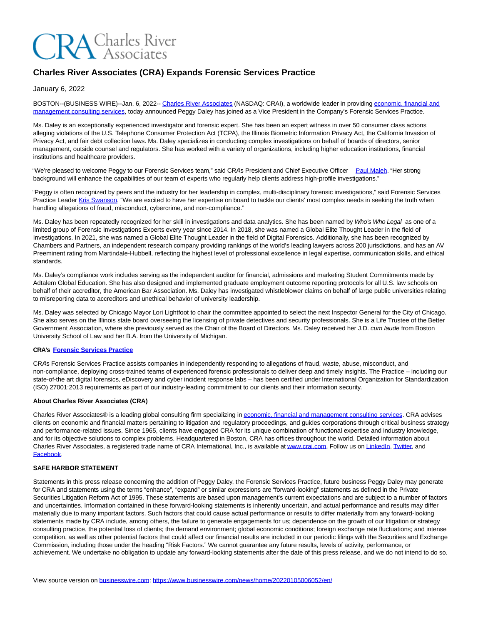# **CRA** Charles River

# **Charles River Associates (CRA) Expands Forensic Services Practice**

January 6, 2022

BOSTON--(BUSINESS WIRE)--Jan. 6, 2022-- [Charles River Associates \(](https://cts.businesswire.com/ct/CT?id=smartlink&url=http%3A%2F%2Fwww.crai.com%2F&esheet=52558667&newsitemid=20220105006052&lan=en-US&anchor=Charles+River+Associates&index=1&md5=cb13fc1db224679dd8d64d652d640e33)NASDAQ: CRAI), a worldwide leader in providin[g economic, financial and](https://cts.businesswire.com/ct/CT?id=smartlink&url=http%3A%2F%2Fwww.crai.com%2F&esheet=52558667&newsitemid=20220105006052&lan=en-US&anchor=economic%2C+financial+and+management+consulting+services&index=2&md5=b8a7fee16dba5c53b7b82abd561c5e5a) management consulting services, today announced Peggy Daley has joined as a Vice President in the Company's Forensic Services Practice.

Ms. Daley is an exceptionally experienced investigator and forensic expert. She has been an expert witness in over 50 consumer class actions alleging violations of the U.S. Telephone Consumer Protection Act (TCPA), the Illinois Biometric Information Privacy Act, the California Invasion of Privacy Act, and fair debt collection laws. Ms. Daley specializes in conducting complex investigations on behalf of boards of directors, senior management, outside counsel and regulators. She has worked with a variety of organizations, including higher education institutions, financial institutions and healthcare providers.

"We're pleased to welcome Peggy to our Forensic Services team," said CRA's President and Chief Executive Officer [Paul Maleh.](https://cts.businesswire.com/ct/CT?id=smartlink&url=http%3A%2F%2Fwww.crai.com%2Fexpert%2Fpaul-maleh&esheet=52558667&newsitemid=20220105006052&lan=en-US&anchor=Paul+Maleh&index=3&md5=004066805bc2b011127424d7334dedb0) "Her strong background will enhance the capabilities of our team of experts who regularly help clients address high-profile investigations."

"Peggy is often recognized by peers and the industry for her leadership in complex, multi-disciplinary forensic investigations," said Forensic Services Practice Leader [Kris Swanson.](https://cts.businesswire.com/ct/CT?id=smartlink&url=https%3A%2F%2Fwww.crai.com%2Four-people%2Fkristofer-swanson%2F&esheet=52558667&newsitemid=20220105006052&lan=en-US&anchor=Kris+Swanson&index=4&md5=cc472088e178bf677ad0d146911aa7fc) "We are excited to have her expertise on board to tackle our clients' most complex needs in seeking the truth when handling allegations of fraud, misconduct, cybercrime, and non-compliance."

Ms. Daley has been repeatedly recognized for her skill in investigations and data analytics. She has been named by Who's Who Legal as one of a limited group of Forensic Investigations Experts every year since 2014. In 2018, she was named a Global Elite Thought Leader in the field of Investigations. In 2021, she was named a Global Elite Thought Leader in the field of Digital Forensics. Additionally, she has been recognized by Chambers and Partners, an independent research company providing rankings of the world's leading lawyers across 200 jurisdictions, and has an AV Preeminent rating from Martindale-Hubbell, reflecting the highest level of professional excellence in legal expertise, communication skills, and ethical standards.

Ms. Daley's compliance work includes serving as the independent auditor for financial, admissions and marketing Student Commitments made by Adtalem Global Education. She has also designed and implemented graduate employment outcome reporting protocols for all U.S. law schools on behalf of their accreditor, the American Bar Association. Ms. Daley has investigated whistleblower claims on behalf of large public universities relating to misreporting data to accreditors and unethical behavior of university leadership.

Ms. Daley was selected by Chicago Mayor Lori Lightfoot to chair the committee appointed to select the next Inspector General for the City of Chicago. She also serves on the Illinois state board overseeing the licensing of private detectives and security professionals. She is a Life Trustee of the Better Government Association, where she previously served as the Chair of the Board of Directors. Ms. Daley received her J.D. cum laude from Boston University School of Law and her B.A. from the University of Michigan.

## **CRA's [Forensic Services Practice](https://cts.businesswire.com/ct/CT?id=smartlink&url=http%3A%2F%2Fwww.crai.com%2Fservice%2Faccounting-forensic-services&esheet=52558667&newsitemid=20220105006052&lan=en-US&anchor=Forensic+Services+Practice&index=5&md5=57432318ede8f56c6a2365a2b22f4030)**

CRA's Forensic Services Practice assists companies in independently responding to allegations of fraud, waste, abuse, misconduct, and non-compliance, deploying cross-trained teams of experienced forensic professionals to deliver deep and timely insights. The Practice – including our state-of-the art digital forensics, eDiscovery and cyber incident response labs – has been certified under International Organization for Standardization (ISO) 27001:2013 requirements as part of our industry-leading commitment to our clients and their information security.

#### **About Charles River Associates (CRA)**

Charles River Associates® is a leading global consulting firm specializing i[n economic, financial and management consulting services.](https://cts.businesswire.com/ct/CT?id=smartlink&url=http%3A%2F%2Fwww.crai.com%2F&esheet=52558667&newsitemid=20220105006052&lan=en-US&anchor=economic%2C+financial+and+management+consulting+services&index=6&md5=da2cd42757b293a2690480ec8da8b6a4) CRA advises clients on economic and financial matters pertaining to litigation and regulatory proceedings, and guides corporations through critical business strategy and performance-related issues. Since 1965, clients have engaged CRA for its unique combination of functional expertise and industry knowledge, and for its objective solutions to complex problems. Headquartered in Boston, CRA has offices throughout the world. Detailed information about Charles River Associates, a registered trade name of CRA International, Inc., is available a[t www.crai.com.](https://cts.businesswire.com/ct/CT?id=smartlink&url=http%3A%2F%2Fwww.crai.com%2F&esheet=52558667&newsitemid=20220105006052&lan=en-US&anchor=www.crai.com&index=7&md5=7a06451abb59801fc772bbacf33b6c20) Follow us o[n LinkedIn,](https://cts.businesswire.com/ct/CT?id=smartlink&url=https%3A%2F%2Fwww.linkedin.com%2Fcompany%2Fcharles-river-associates%2F&esheet=52558667&newsitemid=20220105006052&lan=en-US&anchor=LinkedIn&index=8&md5=b855928817f33d507fc66523213c0816) [Twitter,](https://cts.businesswire.com/ct/CT?id=smartlink&url=https%3A%2F%2Ftwitter.com%2FNews_CRA&esheet=52558667&newsitemid=20220105006052&lan=en-US&anchor=Twitter&index=9&md5=25b263b0bcb7d8c4903d7e5b6d1b9751) and [Facebook.](https://cts.businesswire.com/ct/CT?id=smartlink&url=https%3A%2F%2Fwww.facebook.com%2FCharlesRiverAssociates&esheet=52558667&newsitemid=20220105006052&lan=en-US&anchor=Facebook&index=10&md5=1b044b6d2520d2cb5bcbf37f0a8b4d38)

### **SAFE HARBOR STATEMENT**

Statements in this press release concerning the addition of Peggy Daley, the Forensic Services Practice, future business Peggy Daley may generate for CRA and statements using the terms "enhance", "expand" or similar expressions are "forward-looking" statements as defined in the Private Securities Litigation Reform Act of 1995. These statements are based upon management's current expectations and are subject to a number of factors and uncertainties. Information contained in these forward-looking statements is inherently uncertain, and actual performance and results may differ materially due to many important factors. Such factors that could cause actual performance or results to differ materially from any forward-looking statements made by CRA include, among others, the failure to generate engagements for us; dependence on the growth of our litigation or strategy consulting practice, the potential loss of clients; the demand environment; global economic conditions; foreign exchange rate fluctuations; and intense competition, as well as other potential factors that could affect our financial results are included in our periodic filings with the Securities and Exchange Commission, including those under the heading "Risk Factors." We cannot guarantee any future results, levels of activity, performance, or achievement. We undertake no obligation to update any forward-looking statements after the date of this press release, and we do not intend to do so.